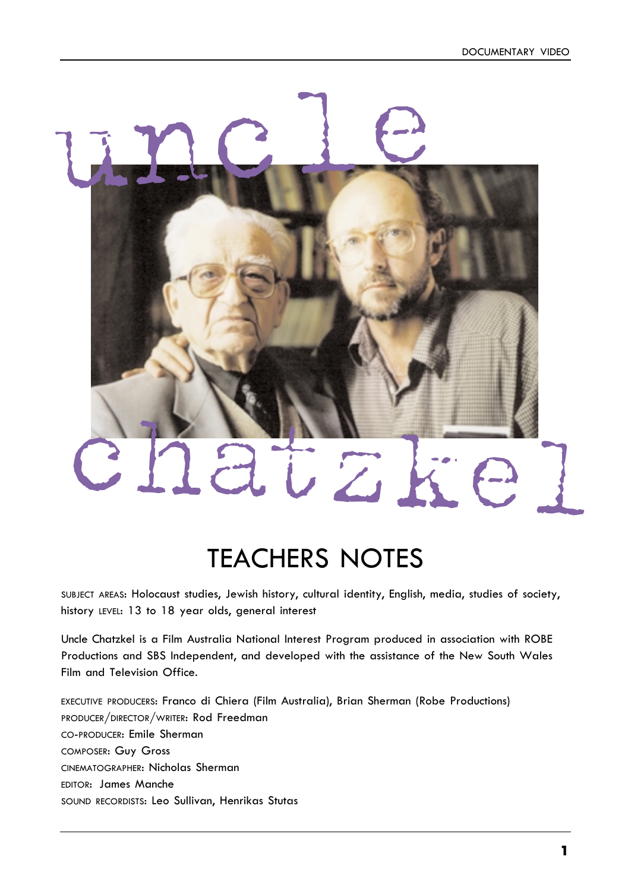# chatzkel

uncle

# TEACHERS NOTES

SUBJECT AREAS: Holocaust studies, Jewish history, cultural identity, English, media, studies of society, history LEVEL: 13 to 18 year olds, general interest

Uncle Chatzkel is a Film Australia National Interest Program produced in association with ROBE Productions and SBS Independent, and developed with the assistance of the New South Wales Film and Television Office.

EXECUTIVE PRODUCERS: Franco di Chiera (Film Australia), Brian Sherman (Robe Productions) PRODUCER/DIRECTOR/WRITER: Rod Freedman CO-PRODUCER: Emile Sherman COMPOSER: Guy Gross CINEMATOGRAPHER: Nicholas Sherman EDITOR: James Manche SOUND RECORDISTS: Leo Sullivan, Henrikas Stutas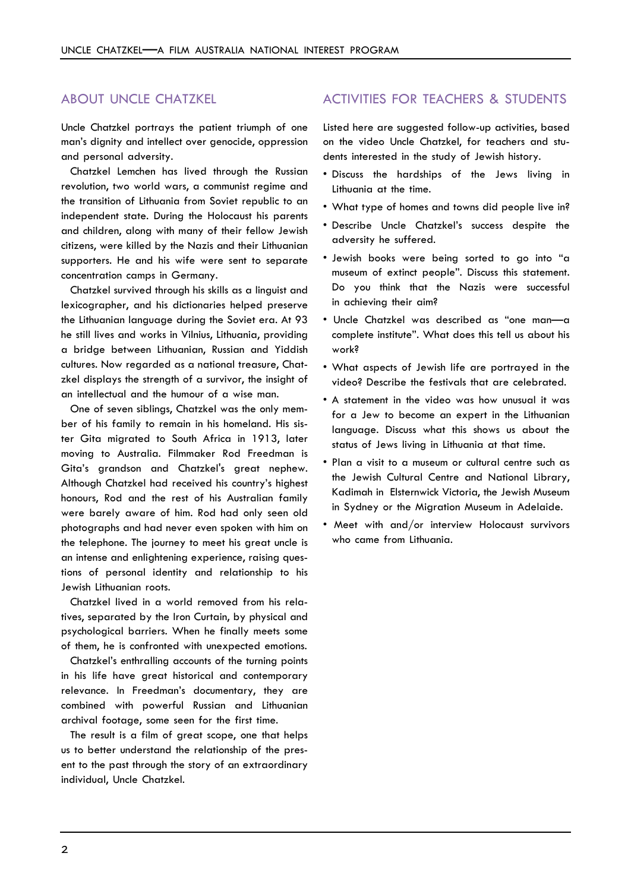### ABOUT UNCLE CHATZKEL

Uncle Chatzkel portrays the patient triumph of one man's dignity and intellect over genocide, oppression and personal adversity.

Chatzkel Lemchen has lived through the Russian revolution, two world wars, a communist regime and the transition of Lithuania from Soviet republic to an independent state. During the Holocaust his parents and children, along with many of their fellow Jewish citizens, were killed by the Nazis and their Lithuanian supporters. He and his wife were sent to separate concentration camps in Germany.

Chatzkel survived through his skills as a linguist and lexicographer, and his dictionaries helped preserve the Lithuanian language during the Soviet era. At 93 he still lives and works in Vilnius, Lithuania, providing a bridge between Lithuanian, Russian and Yiddish cultures. Now regarded as a national treasure, Chatzkel displays the strength of a survivor, the insight of an intellectual and the humour of a wise man.

One of seven siblings, Chatzkel was the only member of his family to remain in his homeland. His sister Gita migrated to South Africa in 1913, later moving to Australia. Filmmaker Rod Freedman is Gita's grandson and Chatzkel's great nephew. Although Chatzkel had received his country's highest honours, Rod and the rest of his Australian family were barely aware of him. Rod had only seen old photographs and had never even spoken with him on the telephone. The journey to meet his great uncle is an intense and enlightening experience, raising questions of personal identity and relationship to his Jewish Lithuanian roots.

Chatzkel lived in a world removed from his relatives, separated by the Iron Curtain, by physical and psychological barriers. When he finally meets some of them, he is confronted with unexpected emotions.

Chatzkel's enthralling accounts of the turning points in his life have great historical and contemporary relevance. In Freedman's documentary, they are combined with powerful Russian and Lithuanian archival footage, some seen for the first time.

The result is a film of great scope, one that helps us to better understand the relationship of the present to the past through the story of an extraordinary individual, Uncle Chatzkel.

## ACTIVITIES FOR TEACHERS & STUDENTS

Listed here are suggested follow-up activities, based on the video Uncle Chatzkel, for teachers and students interested in the study of Jewish history.

- Discuss the hardships of the Jews living in Lithuania at the time.
- What type of homes and towns did people live in?
- Describe Uncle Chatzkel's success despite the adversity he suffered.
- Jewish books were being sorted to go into "a museum of extinct people". Discuss this statement. Do you think that the Nazis were successful in achieving their aim?
- Uncle Chatzkel was described as "one man—a complete institute". What does this tell us about his work?
- What aspects of Jewish life are portrayed in the video? Describe the festivals that are celebrated.
- A statement in the video was how unusual it was for a Jew to become an expert in the Lithuanian language. Discuss what this shows us about the status of Jews living in Lithuania at that time.
- Plan a visit to a museum or cultural centre such as the Jewish Cultural Centre and National Library, Kadimah in Elsternwick Victoria, the Jewish Museum in Sydney or the Migration Museum in Adelaide.
- Meet with and/or interview Holocaust survivors who came from Lithuania.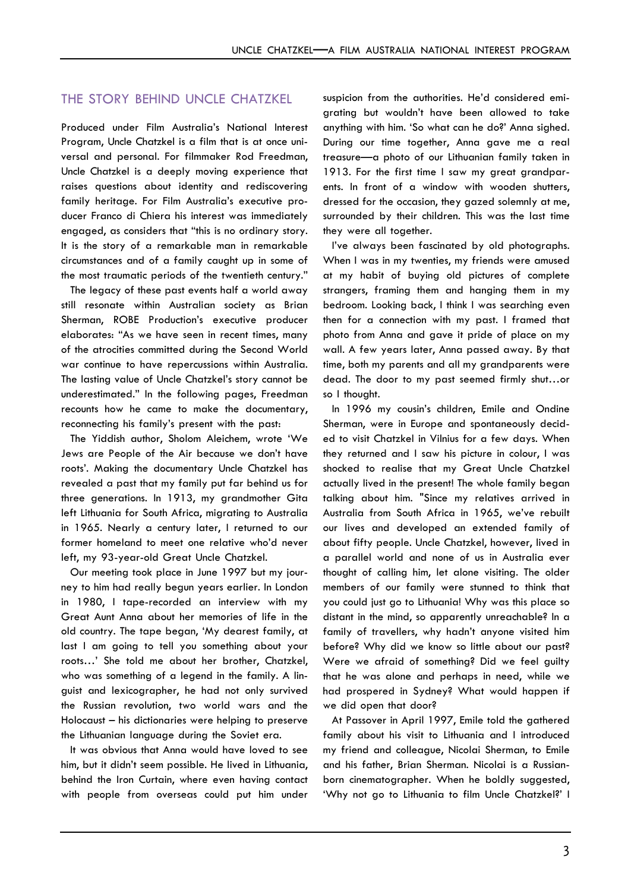### THE STORY BEHIND UNCLE CHATZKEL

Produced under Film Australia's National Interest Program, Uncle Chatzkel is a film that is at once universal and personal. For filmmaker Rod Freedman, Uncle Chatzkel is a deeply moving experience that raises questions about identity and rediscovering family heritage. For Film Australia's executive producer Franco di Chiera his interest was immediately engaged, as considers that "this is no ordinary story. It is the story of a remarkable man in remarkable circumstances and of a family caught up in some of the most traumatic periods of the twentieth century."

The legacy of these past events half a world away still resonate within Australian society as Brian Sherman, ROBE Production's executive producer elaborates: "As we have seen in recent times, many of the atrocities committed during the Second World war continue to have repercussions within Australia. The lasting value of Uncle Chatzkel's story cannot be underestimated." In the following pages, Freedman recounts how he came to make the documentary, reconnecting his family's present with the past:

The Yiddish author, Sholom Aleichem, wrote 'We Jews are People of the Air because we don't have roots'. Making the documentary Uncle Chatzkel has revealed a past that my family put far behind us for three generations. In 1913, my grandmother Gita left Lithuania for South Africa, migrating to Australia in 1965. Nearly a century later, I returned to our former homeland to meet one relative who'd never left, my 93-year-old Great Uncle Chatzkel.

Our meeting took place in June 1997 but my journey to him had really begun years earlier. In London in 1980, I tape-recorded an interview with my Great Aunt Anna about her memories of life in the old country. The tape began, 'My dearest family, at last I am going to tell you something about your roots…' She told me about her brother, Chatzkel, who was something of a legend in the family. A linguist and lexicographer, he had not only survived the Russian revolution, two world wars and the Holocaust – his dictionaries were helping to preserve the Lithuanian language during the Soviet era.

It was obvious that Anna would have loved to see him, but it didn't seem possible. He lived in Lithuania, behind the Iron Curtain, where even having contact with people from overseas could put him under

suspicion from the authorities. He'd considered emigrating but wouldn't have been allowed to take anything with him. 'So what can he do?' Anna sighed. During our time together, Anna gave me a real treasure—a photo of our Lithuanian family taken in 1913. For the first time I saw my great grandparents. In front of a window with wooden shutters, dressed for the occasion, they gazed solemnly at me, surrounded by their children. This was the last time they were all together.

I've always been fascinated by old photographs. When I was in my twenties, my friends were amused at my habit of buying old pictures of complete strangers, framing them and hanging them in my bedroom. Looking back, I think I was searching even then for a connection with my past. I framed that photo from Anna and gave it pride of place on my wall. A few years later, Anna passed away. By that time, both my parents and all my grandparents were dead. The door to my past seemed firmly shut…or so I thought.

In 1996 my cousin's children, Emile and Ondine Sherman, were in Europe and spontaneously decided to visit Chatzkel in Vilnius for a few days. When they returned and I saw his picture in colour, I was shocked to realise that my Great Uncle Chatzkel actually lived in the present! The whole family began talking about him. "Since my relatives arrived in Australia from South Africa in 1965, we've rebuilt our lives and developed an extended family of about fifty people. Uncle Chatzkel, however, lived in a parallel world and none of us in Australia ever thought of calling him, let alone visiting. The older members of our family were stunned to think that you could just go to Lithuania! Why was this place so distant in the mind, so apparently unreachable? In a family of travellers, why hadn't anyone visited him before? Why did we know so little about our past? Were we afraid of something? Did we feel guilty that he was alone and perhaps in need, while we had prospered in Sydney? What would happen if we did open that door?

At Passover in April 1997, Emile told the gathered family about his visit to Lithuania and I introduced my friend and colleague, Nicolai Sherman, to Emile and his father, Brian Sherman. Nicolai is a Russianborn cinematographer. When he boldly suggested, 'Why not go to Lithuania to film Uncle Chatzkel?' I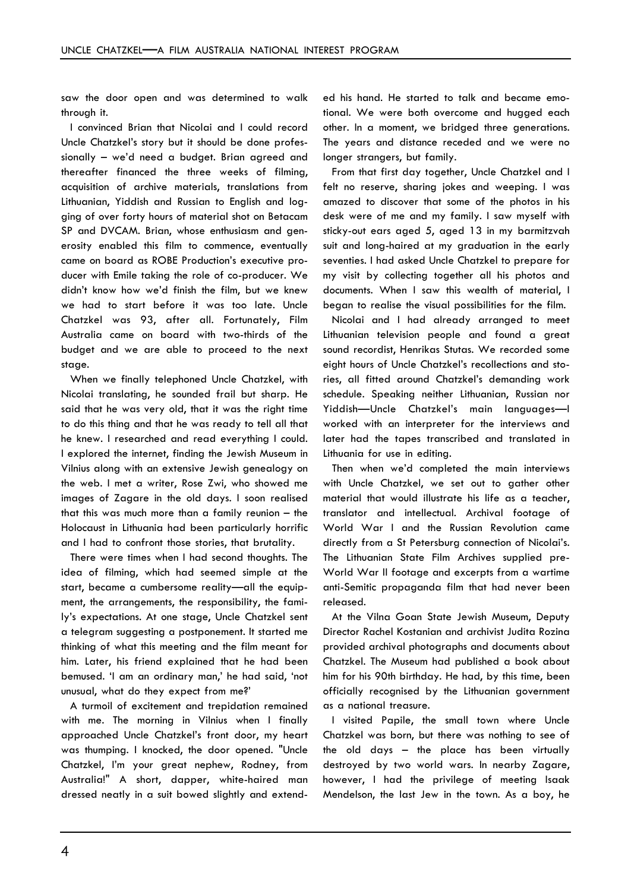saw the door open and was determined to walk through it.

I convinced Brian that Nicolai and I could record Uncle Chatzkel's story but it should be done professionally – we'd need a budget. Brian agreed and thereafter financed the three weeks of filming, acquisition of archive materials, translations from Lithuanian, Yiddish and Russian to English and logging of over forty hours of material shot on Betacam SP and DVCAM. Brian, whose enthusiasm and generosity enabled this film to commence, eventually came on board as ROBE Production's executive producer with Emile taking the role of co-producer. We didn't know how we'd finish the film, but we knew we had to start before it was too late. Uncle Chatzkel was 93, after all. Fortunately, Film Australia came on board with two-thirds of the budget and we are able to proceed to the next stage.

When we finally telephoned Uncle Chatzkel, with Nicolai translating, he sounded frail but sharp. He said that he was very old, that it was the right time to do this thing and that he was ready to tell all that he knew. I researched and read everything I could. I explored the internet, finding the Jewish Museum in Vilnius along with an extensive Jewish genealogy on the web. I met a writer, Rose Zwi, who showed me images of Zagare in the old days. I soon realised that this was much more than a family reunion – the Holocaust in Lithuania had been particularly horrific and I had to confront those stories, that brutality.

There were times when I had second thoughts. The idea of filming, which had seemed simple at the start, became a cumbersome reality—all the equipment, the arrangements, the responsibility, the family's expectations. At one stage, Uncle Chatzkel sent a telegram suggesting a postponement. It started me thinking of what this meeting and the film meant for him. Later, his friend explained that he had been bemused. 'I am an ordinary man,' he had said, 'not unusual, what do they expect from me?'

A turmoil of excitement and trepidation remained with me. The morning in Vilnius when I finally approached Uncle Chatzkel's front door, my heart was thumping. I knocked, the door opened. "Uncle Chatzkel, I'm your great nephew, Rodney, from Australia!" A short, dapper, white-haired man dressed neatly in a suit bowed slightly and extend-

ed his hand. He started to talk and became emotional. We were both overcome and hugged each other. In a moment, we bridged three generations. The years and distance receded and we were no longer strangers, but family.

From that first day together, Uncle Chatzkel and I felt no reserve, sharing jokes and weeping. I was amazed to discover that some of the photos in his desk were of me and my family. I saw myself with sticky-out ears aged 5, aged 13 in my barmitzvah suit and long-haired at my graduation in the early seventies. I had asked Uncle Chatzkel to prepare for my visit by collecting together all his photos and documents. When I saw this wealth of material, I began to realise the visual possibilities for the film.

Nicolai and I had already arranged to meet Lithuanian television people and found a great sound recordist, Henrikas Stutas. We recorded some eight hours of Uncle Chatzkel's recollections and stories, all fitted around Chatzkel's demanding work schedule. Speaking neither Lithuanian, Russian nor Yiddish—Uncle Chatzkel's main languages—I worked with an interpreter for the interviews and later had the tapes transcribed and translated in Lithuania for use in editing.

Then when we'd completed the main interviews with Uncle Chatzkel, we set out to gather other material that would illustrate his life as a teacher, translator and intellectual. Archival footage of World War I and the Russian Revolution came directly from a St Petersburg connection of Nicolai's. The Lithuanian State Film Archives supplied pre-World War II footage and excerpts from a wartime anti-Semitic propaganda film that had never been released.

At the Vilna Goan State Jewish Museum, Deputy Director Rachel Kostanian and archivist Judita Rozina provided archival photographs and documents about Chatzkel. The Museum had published a book about him for his 90th birthday. He had, by this time, been officially recognised by the Lithuanian government as a national treasure.

I visited Papile, the small town where Uncle Chatzkel was born, but there was nothing to see of the old days – the place has been virtually destroyed by two world wars. In nearby Zagare, however, I had the privilege of meeting Isaak Mendelson, the last Jew in the town. As a boy, he